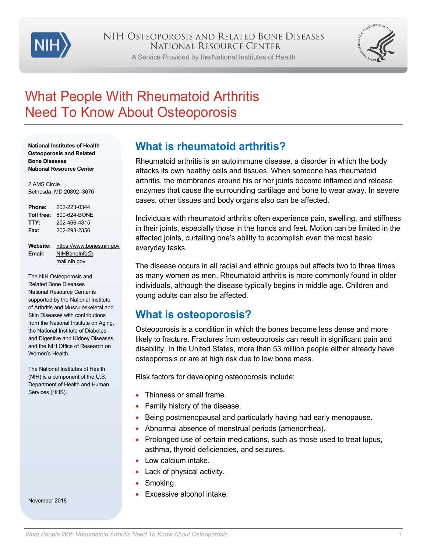

A Service Provided by the National Institutes of Health



# What People With Rheumatoid Arthritis Need To Know About Osteoporosis

**National Institutes of Health Osteoporosis and Related Bone Diseases National Resource Center**

2 AMS Circle Bethesda, MD 20892–3676

| <b>Phone:</b> | 202-223-0344 |
|---------------|--------------|
| Toll free:    | 800-624-BONE |
| TTY:          | 202-466-4315 |
| Fax:          | 202-293-2356 |

**Website:** [https://www.bones.nih.gov](https://www.bones.nih.gov/) **Email:** [NIHBoneInfo@](mailto:NIHBoneInfo@mail.nih.gov) [mail.nih.gov](mailto:NIHBoneInfo@mail.nih.gov)

The NIH Osteoporosis and Related Bone Diseases National Resource Center is supported by the National Institute of Arthritis and Musculoskeletal and Skin Diseases with contributions from the National Institute on Aging, the National Institute of Diabetes and Digestive and Kidney Diseases, and the NIH Office of Research on Women's Health.

The National Institutes of Health (NIH) is a component of the U.S. Department of Health and Human Services (HHS).

November 2018

#### **What is rheumatoid arthritis?**

Rheumatoid arthritis is an autoimmune disease, a disorder in which the body attacks its own healthy cells and tissues. When someone has rheumatoid arthritis, the membranes around his or her joints become inflamed and release enzymes that cause the surrounding cartilage and bone to wear away. In severe cases, other tissues and body organs also can be affected.

Individuals with rheumatoid arthritis often experience pain, swelling, and stiffness in their joints, especially those in the hands and feet. Motion can be limited in the affected joints, curtailing one's ability to accomplish even the most basic everyday tasks.

The disease occurs in all racial and ethnic groups but affects two to three times as many women as men. Rheumatoid arthritis is more commonly found in older individuals, although the disease typically begins in middle age. Children and young adults can also be affected.

#### **What is osteoporosis?**

Osteoporosis is a condition in which the bones become less dense and more likely to fracture. Fractures from osteoporosis can result in significant pain and disability. In the United States, more than 53 million people either already have osteoporosis or are at high risk due to low bone mass.

Risk factors for developing osteoporosis include:

- Thinness or small frame.
- Family history of the disease.
- Being postmenopausal and particularly having had early menopause.
- Abnormal absence of menstrual periods (amenorrhea).
- Prolonged use of certain medications, such as those used to treat lupus, asthma, thyroid deficiencies, and seizures.
- Low calcium intake.
- Lack of physical activity.
- Smoking.
- Excessive alcohol intake.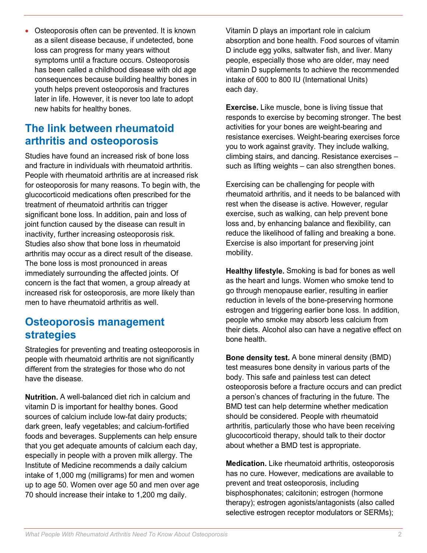• Osteoporosis often can be prevented. It is known as a silent disease because, if undetected, bone loss can progress for many years without symptoms until a fracture occurs. Osteoporosis has been called a childhood disease with old age consequences because building healthy bones in youth helps prevent osteoporosis and fractures later in life. However, it is never too late to adopt new habits for healthy bones.

### **The link between rheumatoid arthritis and osteoporosis**

Studies have found an increased risk of bone loss and fracture in individuals with rheumatoid arthritis. People with rheumatoid arthritis are at increased risk for osteoporosis for many reasons. To begin with, the glucocorticoid medications often prescribed for the treatment of rheumatoid arthritis can trigger significant bone loss. In addition, pain and loss of joint function caused by the disease can result in inactivity, further increasing osteoporosis risk. Studies also show that bone loss in rheumatoid arthritis may occur as a direct result of the disease. The bone loss is most pronounced in areas immediately surrounding the affected joints. Of concern is the fact that women, a group already at increased risk for osteoporosis, are more likely than men to have rheumatoid arthritis as well.

### **Osteoporosis management strategies**

Strategies for preventing and treating osteoporosis in people with rheumatoid arthritis are not significantly different from the strategies for those who do not have the disease.

**Nutrition.** A well-balanced diet rich in calcium and vitamin D is important for healthy bones. Good sources of calcium include low-fat dairy products; dark green, leafy vegetables; and calcium-fortified foods and beverages. Supplements can help ensure that you get adequate amounts of calcium each day, especially in people with a proven milk allergy. The Institute of Medicine recommends a daily calcium intake of 1,000 mg (milligrams) for men and women up to age 50. Women over age 50 and men over age 70 should increase their intake to 1,200 mg daily.

Vitamin D plays an important role in calcium absorption and bone health. Food sources of vitamin D include egg yolks, saltwater fish, and liver. Many people, especially those who are older, may need vitamin D supplements to achieve the recommended intake of 600 to 800 IU (International Units) each day.

**Exercise.** Like muscle, bone is living tissue that responds to exercise by becoming stronger. The best activities for your bones are weight-bearing and resistance exercises. Weight-bearing exercises force you to work against gravity. They include walking, climbing stairs, and dancing. Resistance exercises – such as lifting weights – can also strengthen bones.

Exercising can be challenging for people with rheumatoid arthritis, and it needs to be balanced with rest when the disease is active. However, regular exercise, such as walking, can help prevent bone loss and, by enhancing balance and flexibility, can reduce the likelihood of falling and breaking a bone. Exercise is also important for preserving joint mobility.

**Healthy lifestyle.** Smoking is bad for bones as well as the heart and lungs. Women who smoke tend to go through menopause earlier, resulting in earlier reduction in levels of the bone-preserving hormone estrogen and triggering earlier bone loss. In addition, people who smoke may absorb less calcium from their diets. Alcohol also can have a negative effect on bone health.

**Bone density test.** A bone mineral density (BMD) test measures bone density in various parts of the body. This safe and painless test can detect osteoporosis before a fracture occurs and can predict a person's chances of fracturing in the future. The BMD test can help determine whether medication should be considered. People with rheumatoid arthritis, particularly those who have been receiving glucocorticoid therapy, should talk to their doctor about whether a BMD test is appropriate.

**Medication.** Like rheumatoid arthritis, osteoporosis has no cure. However, medications are available to prevent and treat osteoporosis, including bisphosphonates; calcitonin; estrogen (hormone therapy); estrogen agonists/antagonists (also called selective estrogen receptor modulators or SERMs);